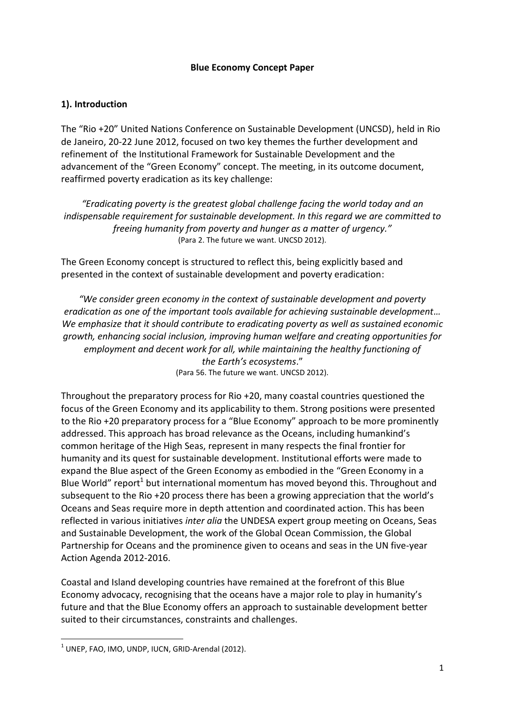#### **Blue Economy Concept Paper**

# **1). Introduction**

The "Rio +20" United Nations Conference on Sustainable Development (UNCSD), held in Rio de Janeiro, 20-22 June 2012, focused on two key themes the further development and refinement of the Institutional Framework for Sustainable Development and the advancement of the "Green Economy" concept. The meeting, in its outcome document, reaffirmed poverty eradication as its key challenge:

*"Eradicating poverty is the greatest global challenge facing the world today and an indispensable requirement for sustainable development. In this regard we are committed to freeing humanity from poverty and hunger as a matter of urgency."* (Para 2. The future we want. UNCSD 2012).

The Green Economy concept is structured to reflect this, being explicitly based and presented in the context of sustainable development and poverty eradication:

*"We consider green economy in the context of sustainable development and poverty eradication as one of the important tools available for achieving sustainable development… We emphasize that it should contribute to eradicating poverty as well as sustained economic growth, enhancing social inclusion, improving human welfare and creating opportunities for employment and decent work for all, while maintaining the healthy functioning of the Earth's ecosystems*." (Para 56. The future we want. UNCSD 2012).

Throughout the preparatory process for Rio +20, many coastal countries questioned the focus of the Green Economy and its applicability to them. Strong positions were presented to the Rio +20 preparatory process for a "Blue Economy" approach to be more prominently addressed. This approach has broad relevance as the Oceans, including humankind's common heritage of the High Seas, represent in many respects the final frontier for humanity and its quest for sustainable development. Institutional efforts were made to expand the Blue aspect of the Green Economy as embodied in the "Green Economy in a Blue World" report<sup>1</sup> but international momentum has moved beyond this. Throughout and subsequent to the Rio +20 process there has been a growing appreciation that the world's Oceans and Seas require more in depth attention and coordinated action. This has been reflected in various initiatives *inter alia* the UNDESA expert group meeting on Oceans, Seas and Sustainable Development, the work of the Global Ocean Commission, the Global Partnership for Oceans and the prominence given to oceans and seas in the UN five-year Action Agenda 2012-2016.

Coastal and Island developing countries have remained at the forefront of this Blue Economy advocacy, recognising that the oceans have a major role to play in humanity's future and that the Blue Economy offers an approach to sustainable development better suited to their circumstances, constraints and challenges.

 $1$  UNEP, FAO, IMO, UNDP, IUCN, GRID-Arendal (2012).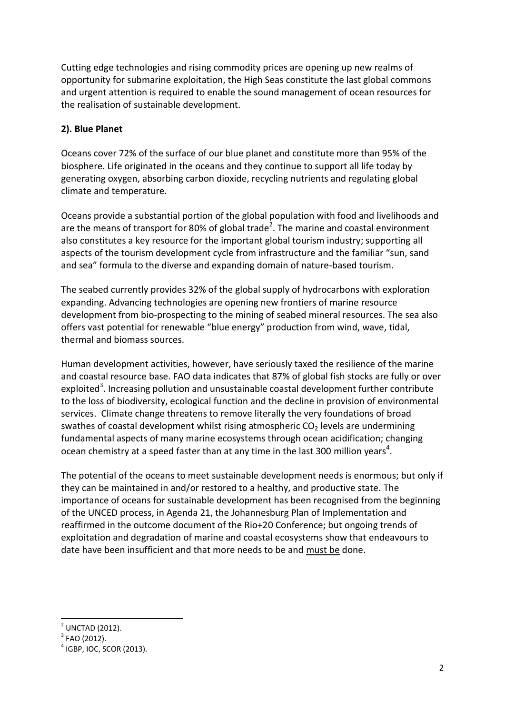Cutting edge technologies and rising commodity prices are opening up new realms of opportunity for submarine exploitation, the High Seas constitute the last global commons and urgent attention is required to enable the sound management of ocean resources for the realisation of sustainable development.

### **2). Blue Planet**

Oceans cover 72% of the surface of our blue planet and constitute more than 95% of the biosphere. Life originated in the oceans and they continue to support all life today by generating oxygen, absorbing carbon dioxide, recycling nutrients and regulating global climate and temperature.

Oceans provide a substantial portion of the global population with food and livelihoods and are the means of transport for 80% of global trade<sup>2</sup>. The marine and coastal environment also constitutes a key resource for the important global tourism industry; supporting all aspects of the tourism development cycle from infrastructure and the familiar "sun, sand and sea" formula to the diverse and expanding domain of nature-based tourism.

The seabed currently provides 32% of the global supply of hydrocarbons with exploration expanding. Advancing technologies are opening new frontiers of marine resource development from bio-prospecting to the mining of seabed mineral resources. The sea also offers vast potential for renewable "blue energy" production from wind, wave, tidal, thermal and biomass sources.

Human development activities, however, have seriously taxed the resilience of the marine and coastal resource base. FAO data indicates that 87% of global fish stocks are fully or over exploited<sup>3</sup>. Increasing pollution and unsustainable coastal development further contribute to the loss of biodiversity, ecological function and the decline in provision of environmental services. Climate change threatens to remove literally the very foundations of broad swathes of coastal development whilst rising atmospheric  $CO<sub>2</sub>$  levels are undermining fundamental aspects of many marine ecosystems through ocean acidification; changing ocean chemistry at a speed faster than at any time in the last 300 million years<sup>4</sup>.

The potential of the oceans to meet sustainable development needs is enormous; but only if they can be maintained in and/or restored to a healthy, and productive state. The importance of oceans for sustainable development has been recognised from the beginning of the UNCED process, in Agenda 21, the Johannesburg Plan of Implementation and reaffirmed in the outcome document of the Rio+20 Conference; but ongoing trends of exploitation and degradation of marine and coastal ecosystems show that endeavours to date have been insufficient and that more needs to be and must be done.

<sup>2</sup> UNCTAD (2012).

 $3$  FAO (2012).

 $<sup>4</sup>$  IGBP, IOC, SCOR (2013).</sup>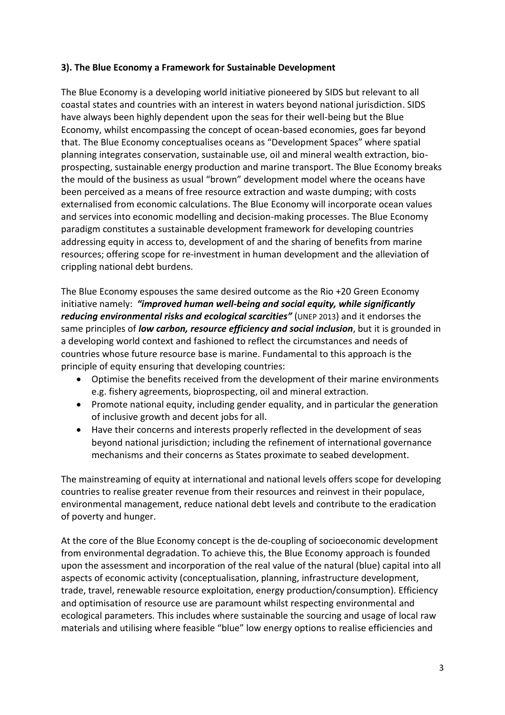# **3). The Blue Economy a Framework for Sustainable Development**

The Blue Economy is a developing world initiative pioneered by SIDS but relevant to all coastal states and countries with an interest in waters beyond national jurisdiction. SIDS have always been highly dependent upon the seas for their well-being but the Blue Economy, whilst encompassing the concept of ocean-based economies, goes far beyond that. The Blue Economy conceptualises oceans as "Development Spaces" where spatial planning integrates conservation, sustainable use, oil and mineral wealth extraction, bioprospecting, sustainable energy production and marine transport. The Blue Economy breaks the mould of the business as usual "brown" development model where the oceans have been perceived as a means of free resource extraction and waste dumping; with costs externalised from economic calculations. The Blue Economy will incorporate ocean values and services into economic modelling and decision-making processes. The Blue Economy paradigm constitutes a sustainable development framework for developing countries addressing equity in access to, development of and the sharing of benefits from marine resources; offering scope for re-investment in human development and the alleviation of crippling national debt burdens.

The Blue Economy espouses the same desired outcome as the Rio +20 Green Economy initiative namely: *"improved human well-being and social equity, while significantly reducing environmental risks and ecological scarcities"* (UNEP 2013) and it endorses the same principles of *low carbon, resource efficiency and social inclusion*, but it is grounded in a developing world context and fashioned to reflect the circumstances and needs of countries whose future resource base is marine. Fundamental to this approach is the principle of equity ensuring that developing countries:

- Optimise the benefits received from the development of their marine environments e.g. fishery agreements, bioprospecting, oil and mineral extraction.
- Promote national equity, including gender equality, and in particular the generation of inclusive growth and decent jobs for all.
- Have their concerns and interests properly reflected in the development of seas beyond national jurisdiction; including the refinement of international governance mechanisms and their concerns as States proximate to seabed development.

The mainstreaming of equity at international and national levels offers scope for developing countries to realise greater revenue from their resources and reinvest in their populace, environmental management, reduce national debt levels and contribute to the eradication of poverty and hunger.

At the core of the Blue Economy concept is the de-coupling of socioeconomic development from environmental degradation. To achieve this, the Blue Economy approach is founded upon the assessment and incorporation of the real value of the natural (blue) capital into all aspects of economic activity (conceptualisation, planning, infrastructure development, trade, travel, renewable resource exploitation, energy production/consumption). Efficiency and optimisation of resource use are paramount whilst respecting environmental and ecological parameters. This includes where sustainable the sourcing and usage of local raw materials and utilising where feasible "blue" low energy options to realise efficiencies and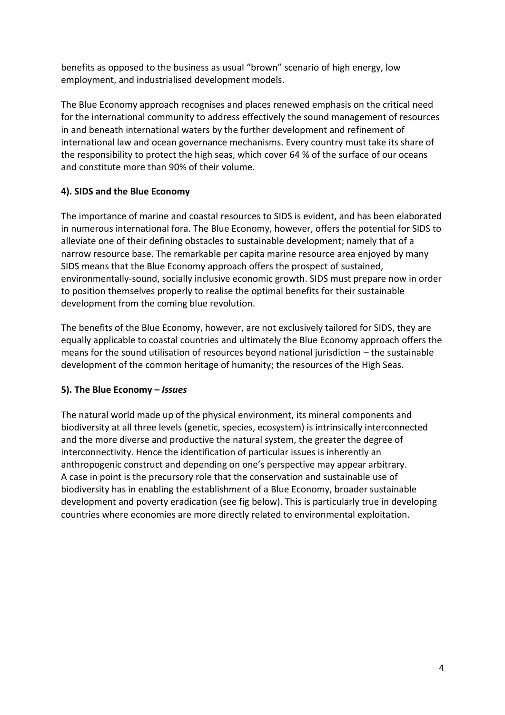benefits as opposed to the business as usual "brown" scenario of high energy, low employment, and industrialised development models.

The Blue Economy approach recognises and places renewed emphasis on the critical need for the international community to address effectively the sound management of resources in and beneath international waters by the further development and refinement of international law and ocean governance mechanisms. Every country must take its share of the responsibility to protect the high seas, which cover 64 % of the surface of our oceans and constitute more than 90% of their volume.

# **4). SIDS and the Blue Economy**

The importance of marine and coastal resources to SIDS is evident, and has been elaborated in numerous international fora. The Blue Economy, however, offers the potential for SIDS to alleviate one of their defining obstacles to sustainable development; namely that of a narrow resource base. The remarkable per capita marine resource area enjoyed by many SIDS means that the Blue Economy approach offers the prospect of sustained, environmentally-sound, socially inclusive economic growth. SIDS must prepare now in order to position themselves properly to realise the optimal benefits for their sustainable development from the coming blue revolution.

The benefits of the Blue Economy, however, are not exclusively tailored for SIDS, they are equally applicable to coastal countries and ultimately the Blue Economy approach offers the means for the sound utilisation of resources beyond national jurisdiction – the sustainable development of the common heritage of humanity; the resources of the High Seas.

# **5). The Blue Economy –** *Issues*

The natural world made up of the physical environment, its mineral components and biodiversity at all three levels (genetic, species, ecosystem) is intrinsically interconnected and the more diverse and productive the natural system, the greater the degree of interconnectivity. Hence the identification of particular issues is inherently an anthropogenic construct and depending on one's perspective may appear arbitrary. A case in point is the precursory role that the conservation and sustainable use of biodiversity has in enabling the establishment of a Blue Economy, broader sustainable development and poverty eradication (see fig below). This is particularly true in developing countries where economies are more directly related to environmental exploitation.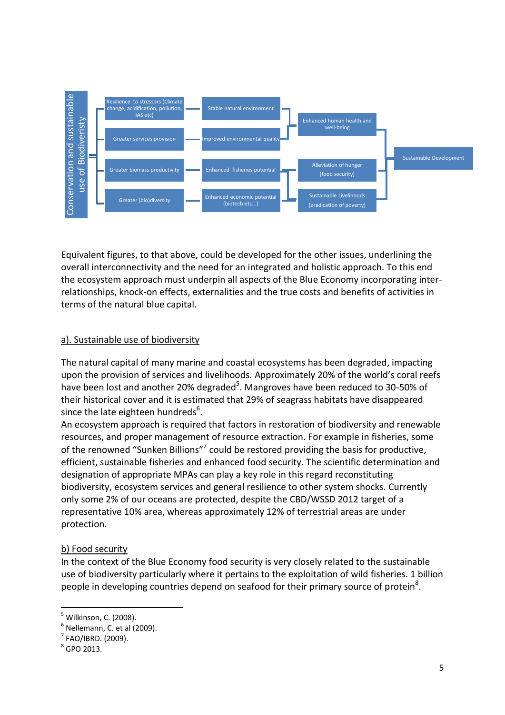

Equivalent figures, to that above, could be developed for the other issues, underlining the overall interconnectivity and the need for an integrated and holistic approach. To this end the ecosystem approach must underpin all aspects of the Blue Economy incorporating interrelationships, knock-on effects, externalities and the true costs and benefits of activities in terms of the natural blue capital.

# a). Sustainable use of biodiversity

The natural capital of many marine and coastal ecosystems has been degraded, impacting upon the provision of services and livelihoods. Approximately 20% of the world's coral reefs have been lost and another 20% degraded<sup>5</sup>. Mangroves have been reduced to 30-50% of their historical cover and it is estimated that 29% of seagrass habitats have disappeared since the late eighteen hundreds<sup>6</sup>.

An ecosystem approach is required that factors in restoration of biodiversity and renewable resources, and proper management of resource extraction. For example in fisheries, some of the renowned "Sunken Billions"<sup>7</sup> could be restored providing the basis for productive, efficient, sustainable fisheries and enhanced food security. The scientific determination and designation of appropriate MPAs can play a key role in this regard reconstituting biodiversity, ecosystem services and general resilience to other system shocks. Currently only some 2% of our oceans are protected, despite the CBD/WSSD 2012 target of a representative 10% area, whereas approximately 12% of terrestrial areas are under protection.

# b) Food security

In the context of the Blue Economy food security is very closely related to the sustainable use of biodiversity particularly where it pertains to the exploitation of wild fisheries. 1 billion people in developing countries depend on seafood for their primary source of protein<sup>8</sup>.

1

<sup>&</sup>lt;sup>5</sup> Wilkinson, C. (2008).

 $<sup>6</sup>$  Nellemann, C. et al (2009).</sup>

 $<sup>7</sup>$  FAO/IBRD. (2009).</sup>

<sup>&</sup>lt;sup>8</sup> GPO 2013.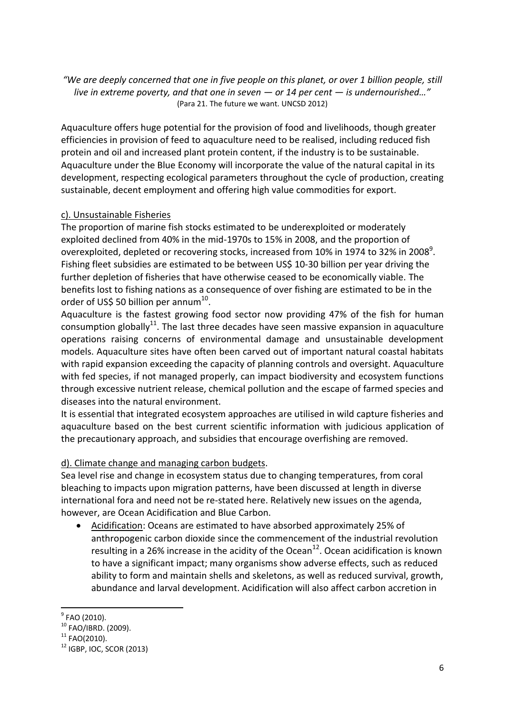*"We are deeply concerned that one in five people on this planet, or over 1 billion people, still live in extreme poverty, and that one in seven — or 14 per cent — is undernourished…"* (Para 21. The future we want. UNCSD 2012)

Aquaculture offers huge potential for the provision of food and livelihoods, though greater efficiencies in provision of feed to aquaculture need to be realised, including reduced fish protein and oil and increased plant protein content, if the industry is to be sustainable. Aquaculture under the Blue Economy will incorporate the value of the natural capital in its development, respecting ecological parameters throughout the cycle of production, creating sustainable, decent employment and offering high value commodities for export.

# c). Unsustainable Fisheries

The proportion of marine fish stocks estimated to be underexploited or moderately exploited declined from 40% in the mid-1970s to 15% in 2008, and the proportion of overexploited, depleted or recovering stocks, increased from 10% in 1974 to 32% in 2008<sup>9</sup>. Fishing fleet subsidies are estimated to be between US\$ 10-30 billion per year driving the further depletion of fisheries that have otherwise ceased to be economically viable. The benefits lost to fishing nations as a consequence of over fishing are estimated to be in the order of US\$ 50 billion per annum $^{10}$ .

Aquaculture is the fastest growing food sector now providing 47% of the fish for human consumption globally<sup>11</sup>. The last three decades have seen massive expansion in aquaculture operations raising concerns of environmental damage and unsustainable development models. Aquaculture sites have often been carved out of important natural coastal habitats with rapid expansion exceeding the capacity of planning controls and oversight. Aquaculture with fed species, if not managed properly, can impact biodiversity and ecosystem functions through excessive nutrient release, chemical pollution and the escape of farmed species and diseases into the natural environment.

It is essential that integrated ecosystem approaches are utilised in wild capture fisheries and aquaculture based on the best current scientific information with judicious application of the precautionary approach, and subsidies that encourage overfishing are removed.

# d). Climate change and managing carbon budgets.

Sea level rise and change in ecosystem status due to changing temperatures, from coral bleaching to impacts upon migration patterns, have been discussed at length in diverse international fora and need not be re-stated here. Relatively new issues on the agenda, however, are Ocean Acidification and Blue Carbon.

 Acidification: Oceans are estimated to have absorbed approximately 25% of anthropogenic carbon dioxide since the commencement of the industrial revolution resulting in a 26% increase in the acidity of the Ocean<sup>12</sup>. Ocean acidification is known to have a significant impact; many organisms show adverse effects, such as reduced ability to form and maintain shells and skeletons, as well as reduced survival, growth, abundance and larval development. Acidification will also affect carbon accretion in

 9 FAO (2010).

<sup>10</sup> FAO/IBRD. (2009).

 $11$  FAO(2010).

 $12$  IGBP, IOC, SCOR (2013)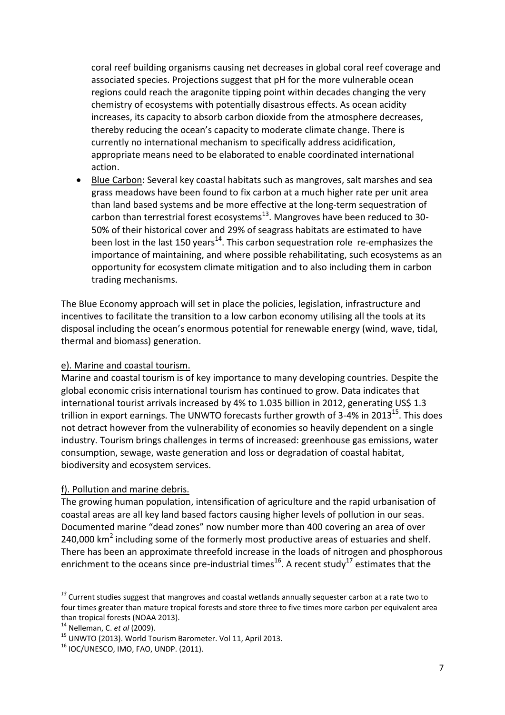coral reef building organisms causing net decreases in global coral reef coverage and associated species. Projections suggest that pH for the more vulnerable ocean regions could reach the aragonite tipping point within decades changing the very chemistry of ecosystems with potentially disastrous effects. As ocean acidity increases, its capacity to absorb carbon dioxide from the atmosphere decreases, thereby reducing the ocean's capacity to moderate climate change. There is currently no international mechanism to specifically address acidification, appropriate means need to be elaborated to enable coordinated international action.

**Blue Carbon:** Several key coastal habitats such as mangroves, salt marshes and sea grass meadows have been found to fix carbon at a much higher rate per unit area than land based systems and be more effective at the long-term sequestration of carbon than terrestrial forest ecosystems<sup>13</sup>. Mangroves have been reduced to 30-50% of their historical cover and 29% of seagrass habitats are estimated to have been lost in the last 150 years<sup>14</sup>. This carbon sequestration role re-emphasizes the importance of maintaining, and where possible rehabilitating, such ecosystems as an opportunity for ecosystem climate mitigation and to also including them in carbon trading mechanisms.

The Blue Economy approach will set in place the policies, legislation, infrastructure and incentives to facilitate the transition to a low carbon economy utilising all the tools at its disposal including the ocean's enormous potential for renewable energy (wind, wave, tidal, thermal and biomass) generation.

# e). Marine and coastal tourism.

Marine and coastal tourism is of key importance to many developing countries. Despite the global economic crisis international tourism has continued to grow. Data indicates that international tourist arrivals increased by 4% to 1.035 billion in 2012, generating US\$ 1.3 trillion in export earnings. The UNWTO forecasts further growth of 3-4% in 2013<sup>15</sup>. This does not detract however from the vulnerability of economies so heavily dependent on a single industry. Tourism brings challenges in terms of increased: greenhouse gas emissions, water consumption, sewage, waste generation and loss or degradation of coastal habitat, biodiversity and ecosystem services.

# f). Pollution and marine debris.

The growing human population, intensification of agriculture and the rapid urbanisation of coastal areas are all key land based factors causing higher levels of pollution in our seas. Documented marine "dead zones" now number more than 400 covering an area of over 240,000  $km^2$  including some of the formerly most productive areas of estuaries and shelf. There has been an approximate threefold increase in the loads of nitrogen and phosphorous enrichment to the oceans since pre-industrial times<sup>16</sup>. A recent study<sup>17</sup> estimates that the

*<sup>13</sup>* Current studies suggest that mangroves and coastal wetlands annually sequester carbon at a rate two to four times greater than mature tropical forests and store three to five times more carbon per equivalent area than tropical forests (NOAA 2013).

<sup>14</sup> Nelleman, C. *et al* (2009).

<sup>15</sup> UNWTO (2013). World Tourism Barometer. Vol 11, April 2013.

 $16$  IOC/UNESCO, IMO, FAO, UNDP. (2011).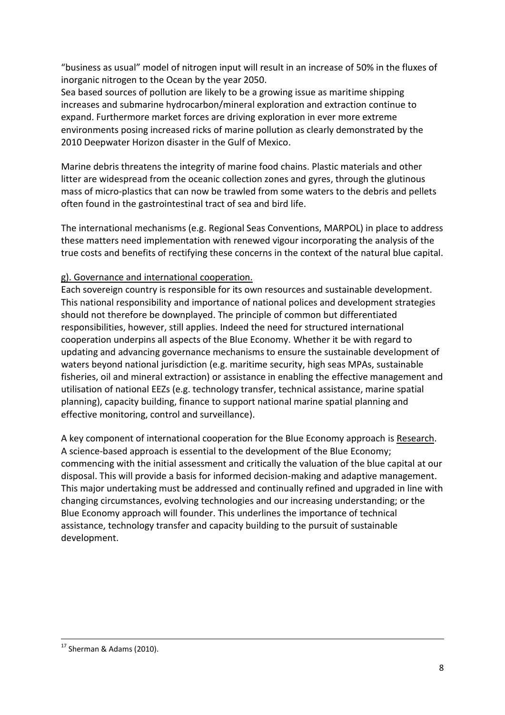"business as usual" model of nitrogen input will result in an increase of 50% in the fluxes of inorganic nitrogen to the Ocean by the year 2050.

Sea based sources of pollution are likely to be a growing issue as maritime shipping increases and submarine hydrocarbon/mineral exploration and extraction continue to expand. Furthermore market forces are driving exploration in ever more extreme environments posing increased ricks of marine pollution as clearly demonstrated by the 2010 Deepwater Horizon disaster in the Gulf of Mexico.

Marine debris threatens the integrity of marine food chains. Plastic materials and other litter are widespread from the oceanic collection zones and gyres, through the glutinous mass of micro-plastics that can now be trawled from some waters to the debris and pellets often found in the gastrointestinal tract of sea and bird life.

The international mechanisms (e.g. Regional Seas Conventions, MARPOL) in place to address these matters need implementation with renewed vigour incorporating the analysis of the true costs and benefits of rectifying these concerns in the context of the natural blue capital.

# g). Governance and international cooperation.

Each sovereign country is responsible for its own resources and sustainable development. This national responsibility and importance of national polices and development strategies should not therefore be downplayed. The principle of common but differentiated responsibilities, however, still applies. Indeed the need for structured international cooperation underpins all aspects of the Blue Economy. Whether it be with regard to updating and advancing governance mechanisms to ensure the sustainable development of waters beyond national jurisdiction (e.g. maritime security, high seas MPAs, sustainable fisheries, oil and mineral extraction) or assistance in enabling the effective management and utilisation of national EEZs (e.g. technology transfer, technical assistance, marine spatial planning), capacity building, finance to support national marine spatial planning and effective monitoring, control and surveillance).

A key component of international cooperation for the Blue Economy approach is Research. A science-based approach is essential to the development of the Blue Economy; commencing with the initial assessment and critically the valuation of the blue capital at our disposal. This will provide a basis for informed decision-making and adaptive management. This major undertaking must be addressed and continually refined and upgraded in line with changing circumstances, evolving technologies and our increasing understanding; or the Blue Economy approach will founder. This underlines the importance of technical assistance, technology transfer and capacity building to the pursuit of sustainable development.

**<sup>.</sup>** <sup>17</sup> Sherman & Adams (2010).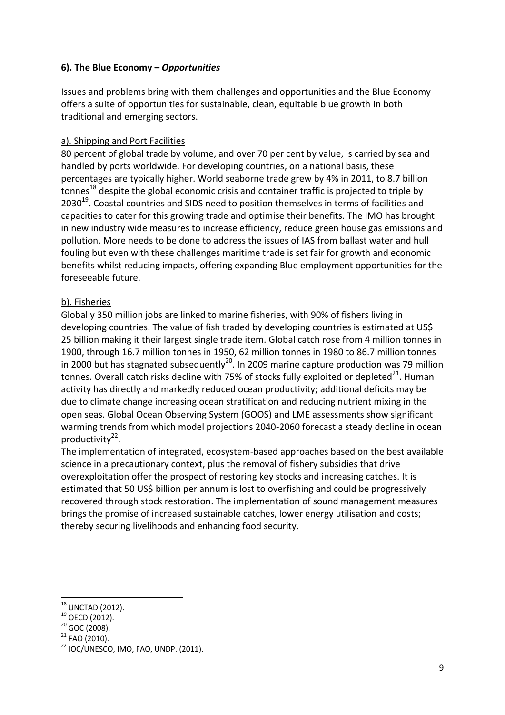# **6). The Blue Economy –** *Opportunities*

Issues and problems bring with them challenges and opportunities and the Blue Economy offers a suite of opportunities for sustainable, clean, equitable blue growth in both traditional and emerging sectors.

### a). Shipping and Port Facilities

80 percent of global trade by volume, and over 70 per cent by value, is carried by sea and handled by ports worldwide. For developing countries, on a national basis, these percentages are typically higher. World seaborne trade grew by 4% in 2011, to 8.7 billion tonnes<sup>18</sup> despite the global economic crisis and container traffic is projected to triple by 2030<sup>19</sup>. Coastal countries and SIDS need to position themselves in terms of facilities and capacities to cater for this growing trade and optimise their benefits. The IMO has brought in new industry wide measures to increase efficiency, reduce green house gas emissions and pollution. More needs to be done to address the issues of IAS from ballast water and hull fouling but even with these challenges maritime trade is set fair for growth and economic benefits whilst reducing impacts, offering expanding Blue employment opportunities for the foreseeable future.

# b). Fisheries

Globally 350 million jobs are linked to marine fisheries, with 90% of fishers living in developing countries. The value of fish traded by developing countries is estimated at US\$ 25 billion making it their largest single trade item. Global catch rose from 4 million tonnes in 1900, through 16.7 million tonnes in 1950, 62 million tonnes in 1980 to 86.7 million tonnes in 2000 but has stagnated subsequently<sup>20</sup>. In 2009 marine capture production was 79 million tonnes. Overall catch risks decline with 75% of stocks fully exploited or depleted $^{21}$ . Human activity has directly and markedly reduced ocean productivity; additional deficits may be due to climate change increasing ocean stratification and reducing nutrient mixing in the open seas. Global Ocean Observing System (GOOS) and LME assessments show significant warming trends from which model projections 2040-2060 forecast a steady decline in ocean productivity<sup>22</sup>.

The implementation of integrated, ecosystem-based approaches based on the best available science in a precautionary context, plus the removal of fishery subsidies that drive overexploitation offer the prospect of restoring key stocks and increasing catches. It is estimated that 50 US\$ billion per annum is lost to overfishing and could be progressively recovered through stock restoration. The implementation of sound management measures brings the promise of increased sustainable catches, lower energy utilisation and costs; thereby securing livelihoods and enhancing food security.

 $\overline{\phantom{a}}$  $18$  UNCTAD (2012).

 $19$  OECD (2012).

 $20$  GOC (2008).

<sup>21</sup> FAO (2010).

 $22$  IOC/UNESCO, IMO, FAO, UNDP. (2011).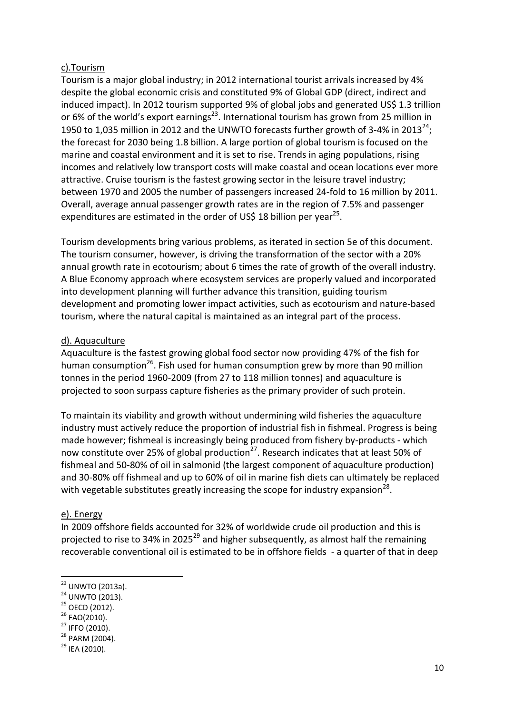### c).Tourism

Tourism is a major global industry; in 2012 international tourist arrivals increased by 4% despite the global economic crisis and constituted 9% of Global GDP (direct, indirect and induced impact). In 2012 tourism supported 9% of global jobs and generated US\$ 1.3 trillion or 6% of the world's export earnings<sup>23</sup>. International tourism has grown from 25 million in 1950 to 1,035 million in 2012 and the UNWTO forecasts further growth of 3-4% in 2013<sup>24</sup>; the forecast for 2030 being 1.8 billion. A large portion of global tourism is focused on the marine and coastal environment and it is set to rise. Trends in aging populations, rising incomes and relatively low transport costs will make coastal and ocean locations ever more attractive. Cruise tourism is the fastest growing sector in the leisure travel industry; between 1970 and 2005 the number of passengers increased 24-fold to 16 million by 2011. Overall, average annual passenger growth rates are in the region of 7.5% and passenger expenditures are estimated in the order of US\$ 18 billion per year<sup>25</sup>.

Tourism developments bring various problems, as iterated in section 5e of this document. The tourism consumer, however, is driving the transformation of the sector with a 20% annual growth rate in ecotourism; about 6 times the rate of growth of the overall industry. A Blue Economy approach where ecosystem services are properly valued and incorporated into development planning will further advance this transition, guiding tourism development and promoting lower impact activities, such as ecotourism and nature-based tourism, where the natural capital is maintained as an integral part of the process.

#### d). Aquaculture

Aquaculture is the fastest growing global food sector now providing 47% of the fish for human consumption<sup>26</sup>. Fish used for human consumption grew by more than 90 million tonnes in the period 1960-2009 (from 27 to 118 million tonnes) and aquaculture is projected to soon surpass capture fisheries as the primary provider of such protein.

To maintain its viability and growth without undermining wild fisheries the aquaculture industry must actively reduce the proportion of industrial fish in fishmeal. Progress is being made however; fishmeal is increasingly being produced from fishery by-products - which now constitute over 25% of global production<sup>27</sup>. Research indicates that at least 50% of fishmeal and 50-80% of oil in salmonid (the largest component of aquaculture production) and 30-80% off fishmeal and up to 60% of oil in marine fish diets can ultimately be replaced with vegetable substitutes greatly increasing the scope for industry expansion<sup>28</sup>.

#### e). Energy

 $\overline{\phantom{a}}$ 

In 2009 offshore fields accounted for 32% of worldwide crude oil production and this is projected to rise to 34% in 2025<sup>29</sup> and higher subsequently, as almost half the remaining recoverable conventional oil is estimated to be in offshore fields - a quarter of that in deep

<sup>&</sup>lt;sup>23</sup> UNWTO (2013a).

<sup>&</sup>lt;sup>24</sup> UNWTO (2013).

 $25$  OECD (2012).

<sup>26</sup> FAO(2010).

<sup>27</sup> IFFO (2010).

<sup>28</sup> PARM (2004).

 $^{29}$  IFA (2010).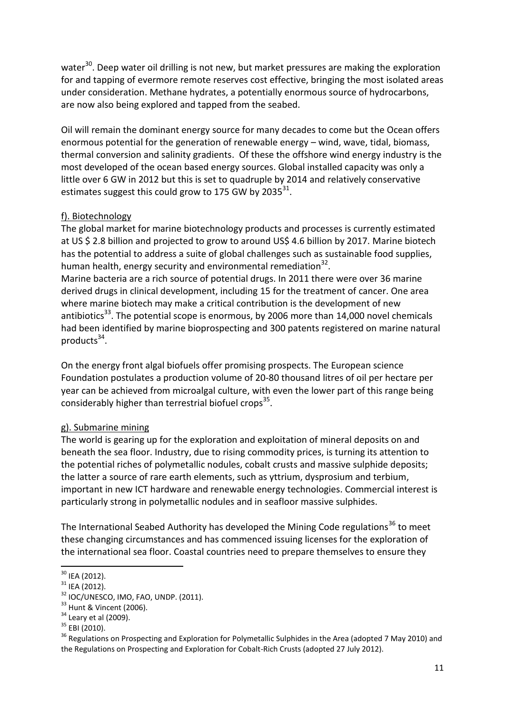water<sup>30</sup>. Deep water oil drilling is not new, but market pressures are making the exploration for and tapping of evermore remote reserves cost effective, bringing the most isolated areas under consideration. Methane hydrates, a potentially enormous source of hydrocarbons, are now also being explored and tapped from the seabed.

Oil will remain the dominant energy source for many decades to come but the Ocean offers enormous potential for the generation of renewable energy – wind, wave, tidal, biomass, thermal conversion and salinity gradients. Of these the offshore wind energy industry is the most developed of the ocean based energy sources. Global installed capacity was only a little over 6 GW in 2012 but this is set to quadruple by 2014 and relatively conservative estimates suggest this could grow to 175 GW by 2035 $^{31}$ .

# f). Biotechnology

The global market for marine biotechnology products and processes is currently estimated at US \$ 2.8 billion and projected to grow to around US\$ 4.6 billion by 2017. Marine biotech has the potential to address a suite of global challenges such as sustainable food supplies, human health, energy security and environmental remediation $^{32}$ .

Marine bacteria are a rich source of potential drugs. In 2011 there were over 36 marine derived drugs in clinical development, including 15 for the treatment of cancer. One area where marine biotech may make a critical contribution is the development of new antibiotics<sup>33</sup>. The potential scope is enormous, by 2006 more than 14,000 novel chemicals had been identified by marine bioprospecting and 300 patents registered on marine natural products<sup>34</sup>.

On the energy front algal biofuels offer promising prospects. The European science Foundation postulates a production volume of 20-80 thousand litres of oil per hectare per year can be achieved from microalgal culture, with even the lower part of this range being considerably higher than terrestrial biofuel crops<sup>35</sup>.

# g). Submarine mining

The world is gearing up for the exploration and exploitation of mineral deposits on and beneath the sea floor. Industry, due to rising commodity prices, is turning its attention to the potential riches of polymetallic nodules, cobalt crusts and massive sulphide deposits; the latter a source of rare earth elements, such as yttrium, dysprosium and terbium, important in new ICT hardware and renewable energy technologies. Commercial interest is particularly strong in polymetallic nodules and in seafloor massive sulphides.

The International Seabed Authority has developed the Mining Code regulations<sup>36</sup> to meet these changing circumstances and has commenced issuing licenses for the exploration of the international sea floor. Coastal countries need to prepare themselves to ensure they

 $30$  IEA (2012).

 $31$  IEA (2012).

 $32$  IOC/UNESCO, IMO, FAO, UNDP. (2011).

 $33$  Hunt & Vincent (2006).

 $34$  Leary et al (2009).

<sup>35</sup> EBI (2010).

<sup>&</sup>lt;sup>36</sup> Regulations on Prospecting and Exploration for Polymetallic Sulphides in the Area (adopted 7 May 2010) and the Regulations on Prospecting and Exploration for Cobalt-Rich Crusts (adopted 27 July 2012).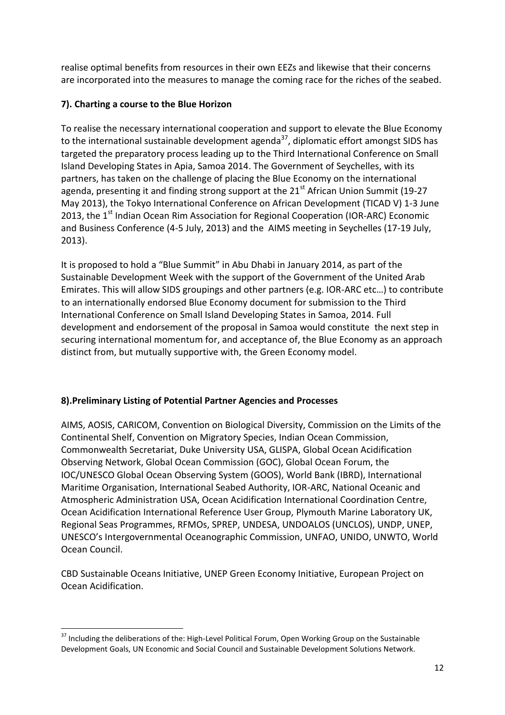realise optimal benefits from resources in their own EEZs and likewise that their concerns are incorporated into the measures to manage the coming race for the riches of the seabed.

# **7). Charting a course to the Blue Horizon**

To realise the necessary international cooperation and support to elevate the Blue Economy to the international sustainable development agenda<sup>37</sup>, diplomatic effort amongst SIDS has targeted the preparatory process leading up to the Third International Conference on Small Island Developing States in Apia, Samoa 2014. The Government of Seychelles, with its partners, has taken on the challenge of placing the Blue Economy on the international agenda, presenting it and finding strong support at the  $21<sup>st</sup>$  African Union Summit (19-27) May 2013), the Tokyo International Conference on African Development (TICAD V) 1-3 June 2013, the  $1<sup>st</sup>$  Indian Ocean Rim Association for Regional Cooperation (IOR-ARC) Economic and Business Conference (4-5 July, 2013) and the AIMS meeting in Seychelles (17-19 July, 2013).

It is proposed to hold a "Blue Summit" in Abu Dhabi in January 2014, as part of the Sustainable Development Week with the support of the Government of the United Arab Emirates. This will allow SIDS groupings and other partners (e.g. IOR-ARC etc…) to contribute to an internationally endorsed Blue Economy document for submission to the Third International Conference on Small Island Developing States in Samoa, 2014. Full development and endorsement of the proposal in Samoa would constitute the next step in securing international momentum for, and acceptance of, the Blue Economy as an approach distinct from, but mutually supportive with, the Green Economy model.

# **8).Preliminary Listing of Potential Partner Agencies and Processes**

AIMS, AOSIS, CARICOM, Convention on Biological Diversity, Commission on the Limits of the Continental Shelf, Convention on Migratory Species, Indian Ocean Commission, Commonwealth Secretariat, Duke University USA, GLISPA, Global Ocean Acidification Observing Network, Global Ocean Commission (GOC), Global Ocean Forum, the IOC/UNESCO Global Ocean Observing System (GOOS), World Bank (IBRD), International Maritime Organisation, International Seabed Authority, IOR-ARC, National Oceanic and Atmospheric Administration USA, Ocean Acidification International Coordination Centre, Ocean Acidification International Reference User Group, Plymouth Marine Laboratory UK, Regional Seas Programmes, RFMOs, SPREP, UNDESA, UNDOALOS (UNCLOS), UNDP, UNEP, UNESCO's Intergovernmental Oceanographic Commission, UNFAO, UNIDO, UNWTO, World Ocean Council.

CBD Sustainable Oceans Initiative, UNEP Green Economy Initiative, European Project on Ocean Acidification.

1

<sup>&</sup>lt;sup>37</sup> Including the deliberations of the: High-Level Political Forum, Open Working Group on the Sustainable Development Goals, UN Economic and Social Council and Sustainable Development Solutions Network.